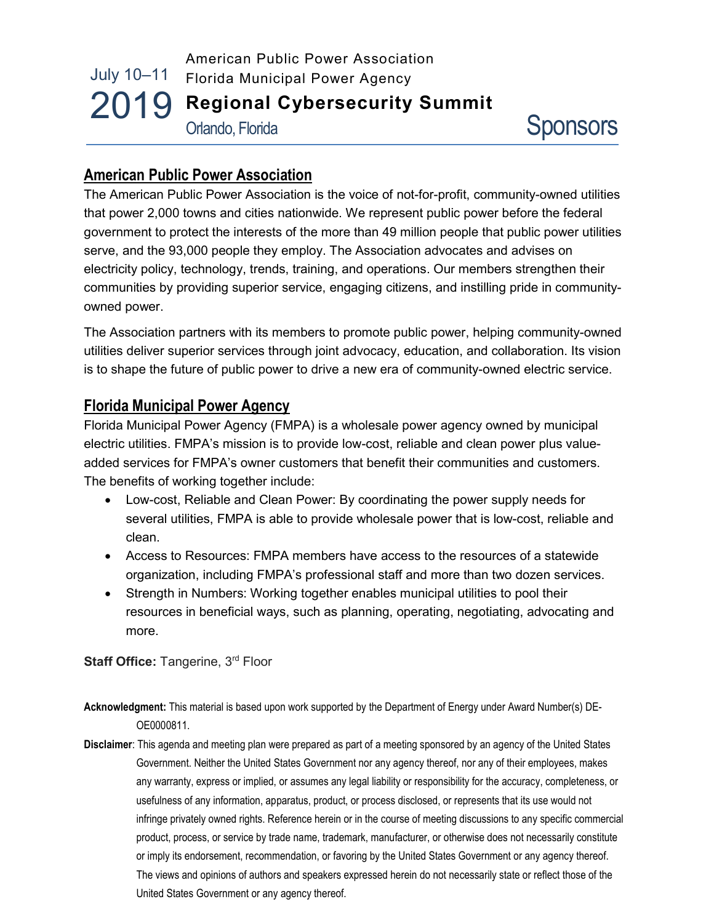## July 10–11 2019 Regional Cybersecurity Summit American Public Power Association Florida Municipal Power Agency Orlando, Florida

# American Public Power Association

The American Public Power Association is the voice of not-for-profit, community-owned utilities that power 2,000 towns and cities nationwide. We represent public power before the federal government to protect the interests of the more than 49 million people that public power utilities serve, and the 93,000 people they employ. The Association advocates and advises on electricity policy, technology, trends, training, and operations. Our members strengthen their communities by providing superior service, engaging citizens, and instilling pride in communityowned power.

The Association partners with its members to promote public power, helping community-owned utilities deliver superior services through joint advocacy, education, and collaboration. Its vision is to shape the future of public power to drive a new era of community-owned electric service.

## Florida Municipal Power Agency

Florida Municipal Power Agency (FMPA) is a wholesale power agency owned by municipal electric utilities. FMPA's mission is to provide low-cost, reliable and clean power plus valueadded services for FMPA's owner customers that benefit their communities and customers. The benefits of working together include:

- Low-cost, Reliable and Clean Power: By coordinating the power supply needs for several utilities, FMPA is able to provide wholesale power that is low-cost, reliable and clean.
- Access to Resources: FMPA members have access to the resources of a statewide organization, including FMPA's professional staff and more than two dozen services.
- Strength in Numbers: Working together enables municipal utilities to pool their resources in beneficial ways, such as planning, operating, negotiating, advocating and more.

Staff Office: Tangerine, 3<sup>rd</sup> Floor

- Acknowledgment: This material is based upon work supported by the Department of Energy under Award Number(s) DE-OE0000811.
- Disclaimer: This agenda and meeting plan were prepared as part of a meeting sponsored by an agency of the United States Government. Neither the United States Government nor any agency thereof, nor any of their employees, makes any warranty, express or implied, or assumes any legal liability or responsibility for the accuracy, completeness, or usefulness of any information, apparatus, product, or process disclosed, or represents that its use would not infringe privately owned rights. Reference herein or in the course of meeting discussions to any specific commercial product, process, or service by trade name, trademark, manufacturer, or otherwise does not necessarily constitute or imply its endorsement, recommendation, or favoring by the United States Government or any agency thereof. The views and opinions of authors and speakers expressed herein do not necessarily state or reflect those of the United States Government or any agency thereof.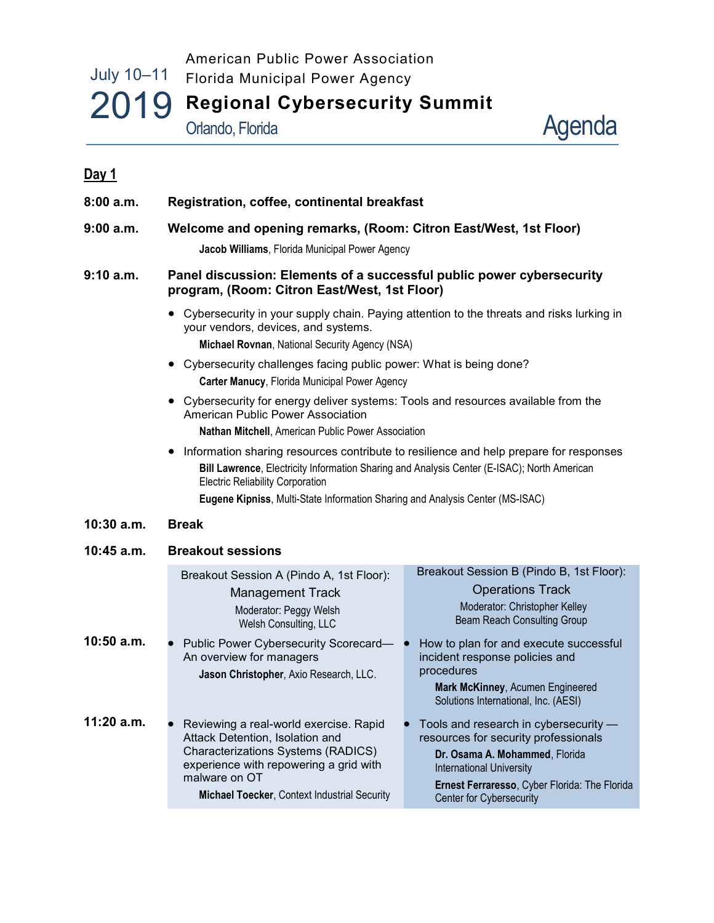## July 10–11 2019 Regional Cybersecurity Summit American Public Power Association Florida Municipal Power Agency Agenda Orlando, Florida

| Day 1        |                                                                                                                                                                                                                                                                                                                  |                                                                                                                                                                                                                                 |
|--------------|------------------------------------------------------------------------------------------------------------------------------------------------------------------------------------------------------------------------------------------------------------------------------------------------------------------|---------------------------------------------------------------------------------------------------------------------------------------------------------------------------------------------------------------------------------|
| 8:00a.m.     | Registration, coffee, continental breakfast                                                                                                                                                                                                                                                                      |                                                                                                                                                                                                                                 |
| 9:00 a.m.    | Welcome and opening remarks, (Room: Citron East/West, 1st Floor)<br>Jacob Williams, Florida Municipal Power Agency                                                                                                                                                                                               |                                                                                                                                                                                                                                 |
| 9:10 a.m.    | Panel discussion: Elements of a successful public power cybersecurity<br>program, (Room: Citron East/West, 1st Floor)                                                                                                                                                                                            |                                                                                                                                                                                                                                 |
|              | • Cybersecurity in your supply chain. Paying attention to the threats and risks lurking in<br>your vendors, devices, and systems.<br>Michael Rovnan, National Security Agency (NSA)                                                                                                                              |                                                                                                                                                                                                                                 |
|              | Cybersecurity challenges facing public power: What is being done?<br>Carter Manucy, Florida Municipal Power Agency                                                                                                                                                                                               |                                                                                                                                                                                                                                 |
|              | Cybersecurity for energy deliver systems: Tools and resources available from the<br>American Public Power Association<br>Nathan Mitchell, American Public Power Association                                                                                                                                      |                                                                                                                                                                                                                                 |
|              | Information sharing resources contribute to resilience and help prepare for responses<br>Bill Lawrence, Electricity Information Sharing and Analysis Center (E-ISAC); North American<br><b>Electric Reliability Corporation</b><br>Eugene Kipniss, Multi-State Information Sharing and Analysis Center (MS-ISAC) |                                                                                                                                                                                                                                 |
| $10:30$ a.m. | <b>Break</b>                                                                                                                                                                                                                                                                                                     |                                                                                                                                                                                                                                 |
| 10:45 a.m.   | <b>Breakout sessions</b>                                                                                                                                                                                                                                                                                         |                                                                                                                                                                                                                                 |
|              | Breakout Session A (Pindo A, 1st Floor):<br><b>Management Track</b><br>Moderator: Peggy Welsh<br>Welsh Consulting, LLC                                                                                                                                                                                           | Breakout Session B (Pindo B, 1st Floor):<br><b>Operations Track</b><br>Moderator: Christopher Kelley<br>Beam Reach Consulting Group                                                                                             |
| $10:50$ a.m. | Public Power Cybersecurity Scorecard— ●<br>An overview for managers<br>Jason Christopher, Axio Research, LLC.                                                                                                                                                                                                    | How to plan for and execute successful<br>incident response policies and<br>procedures<br>Mark McKinney, Acumen Engineered<br>Solutions International, Inc. (AESI)                                                              |
| $11:20$ a.m. | Reviewing a real-world exercise. Rapid<br>Attack Detention, Isolation and<br>Characterizations Systems (RADICS)<br>experience with repowering a grid with<br>malware on OT<br>Michael Toecker, Context Industrial Security                                                                                       | Tools and research in cybersecurity -<br>resources for security professionals<br>Dr. Osama A. Mohammed, Florida<br><b>International University</b><br>Ernest Ferraresso, Cyber Florida: The Florida<br>Center for Cybersecurity |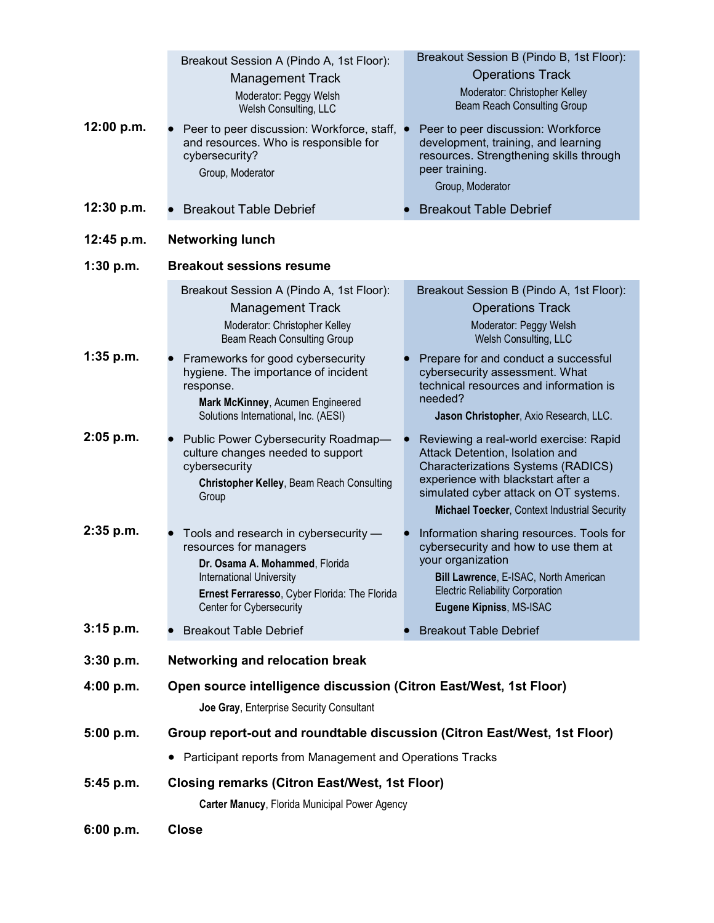| 12:00 p.m.<br>12:30 p.m. | Breakout Session A (Pindo A, 1st Floor):<br><b>Management Track</b><br>Moderator: Peggy Welsh<br>Welsh Consulting, LLC<br>Peer to peer discussion: Workforce, staff,<br>and resources. Who is responsible for<br>cybersecurity?<br>Group, Moderator<br><b>Breakout Table Debrief</b> | Breakout Session B (Pindo B, 1st Floor):<br><b>Operations Track</b><br>Moderator: Christopher Kelley<br>Beam Reach Consulting Group<br>Peer to peer discussion: Workforce<br>development, training, and learning<br>resources. Strengthening skills through<br>peer training.<br>Group, Moderator<br><b>Breakout Table Debrief</b> |
|--------------------------|--------------------------------------------------------------------------------------------------------------------------------------------------------------------------------------------------------------------------------------------------------------------------------------|------------------------------------------------------------------------------------------------------------------------------------------------------------------------------------------------------------------------------------------------------------------------------------------------------------------------------------|
| 12:45 p.m.               | <b>Networking lunch</b>                                                                                                                                                                                                                                                              |                                                                                                                                                                                                                                                                                                                                    |
|                          | <b>Breakout sessions resume</b>                                                                                                                                                                                                                                                      |                                                                                                                                                                                                                                                                                                                                    |
| 1:30 p.m.                | Breakout Session A (Pindo A, 1st Floor):<br><b>Management Track</b><br>Moderator: Christopher Kelley<br>Beam Reach Consulting Group                                                                                                                                                  | Breakout Session B (Pindo A, 1st Floor):<br><b>Operations Track</b><br>Moderator: Peggy Welsh<br>Welsh Consulting, LLC                                                                                                                                                                                                             |
| $1:35$ p.m.              | Frameworks for good cybersecurity<br>hygiene. The importance of incident<br>response.<br>Mark McKinney, Acumen Engineered<br>Solutions International, Inc. (AESI)                                                                                                                    | Prepare for and conduct a successful<br>cybersecurity assessment. What<br>technical resources and information is<br>needed?<br>Jason Christopher, Axio Research, LLC.                                                                                                                                                              |
| $2:05$ p.m.              | Public Power Cybersecurity Roadmap-<br>culture changes needed to support<br>cybersecurity<br><b>Christopher Kelley, Beam Reach Consulting</b><br>Group                                                                                                                               | Reviewing a real-world exercise: Rapid<br>Attack Detention, Isolation and<br><b>Characterizations Systems (RADICS)</b><br>experience with blackstart after a<br>simulated cyber attack on OT systems.<br>Michael Toecker, Context Industrial Security                                                                              |
| $2:35$ p.m.              | Tools and research in cybersecurity -<br>resources for managers<br>Dr. Osama A. Mohammed, Florida<br><b>International University</b><br>Ernest Ferraresso, Cyber Florida: The Florida<br>Center for Cybersecurity                                                                    | Information sharing resources. Tools for<br>cybersecurity and how to use them at<br>your organization<br>Bill Lawrence, E-ISAC, North American<br><b>Electric Reliability Corporation</b><br>Eugene Kipniss, MS-ISAC                                                                                                               |
| $3:15$ p.m.              | <b>Breakout Table Debrief</b>                                                                                                                                                                                                                                                        | <b>Breakout Table Debrief</b>                                                                                                                                                                                                                                                                                                      |
| $3:30$ p.m.              | Networking and relocation break                                                                                                                                                                                                                                                      |                                                                                                                                                                                                                                                                                                                                    |
| 4:00 p.m.                | Open source intelligence discussion (Citron East/West, 1st Floor)<br>Joe Gray, Enterprise Security Consultant                                                                                                                                                                        |                                                                                                                                                                                                                                                                                                                                    |
| 5:00 p.m.                | Group report-out and roundtable discussion (Citron East/West, 1st Floor)                                                                                                                                                                                                             |                                                                                                                                                                                                                                                                                                                                    |
|                          | • Participant reports from Management and Operations Tracks                                                                                                                                                                                                                          |                                                                                                                                                                                                                                                                                                                                    |
| 5:45 p.m.                | <b>Closing remarks (Citron East/West, 1st Floor)</b>                                                                                                                                                                                                                                 |                                                                                                                                                                                                                                                                                                                                    |
|                          | Carter Manucy, Florida Municipal Power Agency                                                                                                                                                                                                                                        |                                                                                                                                                                                                                                                                                                                                    |
| 6:00 p.m.                | <b>Close</b>                                                                                                                                                                                                                                                                         |                                                                                                                                                                                                                                                                                                                                    |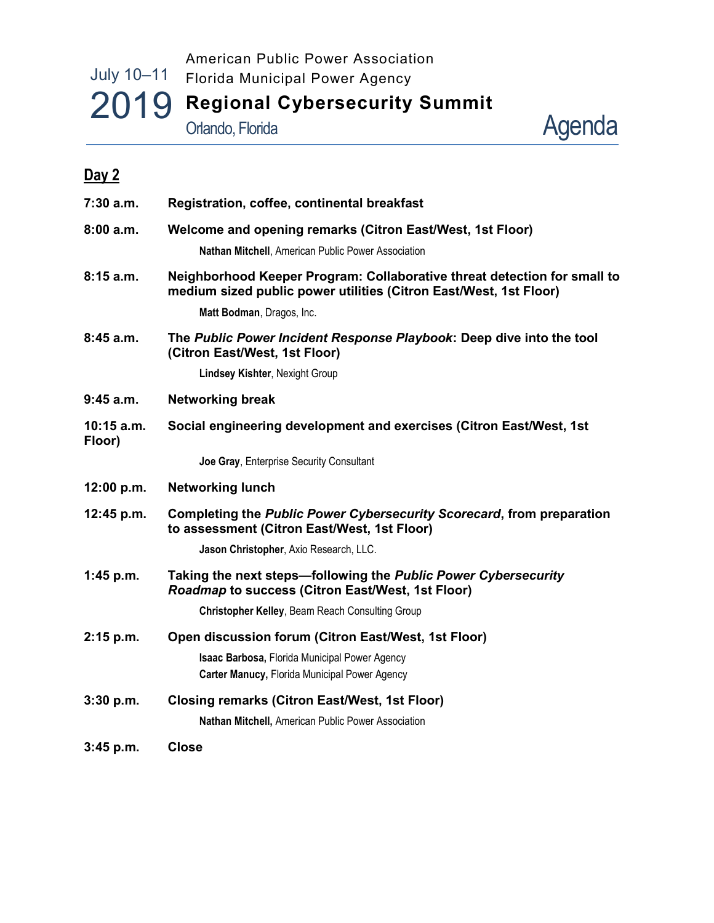# July 10–11 2019 Regional Cybersecurity Summit American Public Power Association Florida Municipal Power Agency Orlando, Florida

Agenda

| Day 2                |                                                                                                                                               |  |
|----------------------|-----------------------------------------------------------------------------------------------------------------------------------------------|--|
| 7:30 a.m.            | Registration, coffee, continental breakfast                                                                                                   |  |
| 8:00 a.m.            | Welcome and opening remarks (Citron East/West, 1st Floor)                                                                                     |  |
|                      | Nathan Mitchell, American Public Power Association                                                                                            |  |
| 8:15 a.m.            | Neighborhood Keeper Program: Collaborative threat detection for small to<br>medium sized public power utilities (Citron East/West, 1st Floor) |  |
|                      | Matt Bodman, Dragos, Inc.                                                                                                                     |  |
| 8:45 a.m.            | The Public Power Incident Response Playbook: Deep dive into the tool<br>(Citron East/West, 1st Floor)                                         |  |
|                      | Lindsey Kishter, Nexight Group                                                                                                                |  |
| 9:45 a.m.            | <b>Networking break</b>                                                                                                                       |  |
| 10:15 a.m.<br>Floor) | Social engineering development and exercises (Citron East/West, 1st                                                                           |  |
|                      | Joe Gray, Enterprise Security Consultant                                                                                                      |  |
| 12:00 p.m.           | <b>Networking lunch</b>                                                                                                                       |  |
| 12:45 p.m.           | Completing the Public Power Cybersecurity Scorecard, from preparation<br>to assessment (Citron East/West, 1st Floor)                          |  |
|                      | Jason Christopher, Axio Research, LLC.                                                                                                        |  |
| 1:45 p.m.            | Taking the next steps-following the Public Power Cybersecurity<br>Roadmap to success (Citron East/West, 1st Floor)                            |  |
|                      | <b>Christopher Kelley, Beam Reach Consulting Group</b>                                                                                        |  |
| 2:15 p.m.            | Open discussion forum (Citron East/West, 1st Floor)                                                                                           |  |
|                      | Isaac Barbosa, Florida Municipal Power Agency<br>Carter Manucy, Florida Municipal Power Agency                                                |  |
| $3:30$ p.m.          | <b>Closing remarks (Citron East/West, 1st Floor)</b>                                                                                          |  |
|                      | <b>Nathan Mitchell, American Public Power Association</b>                                                                                     |  |
| 3:45 p.m.            | Close                                                                                                                                         |  |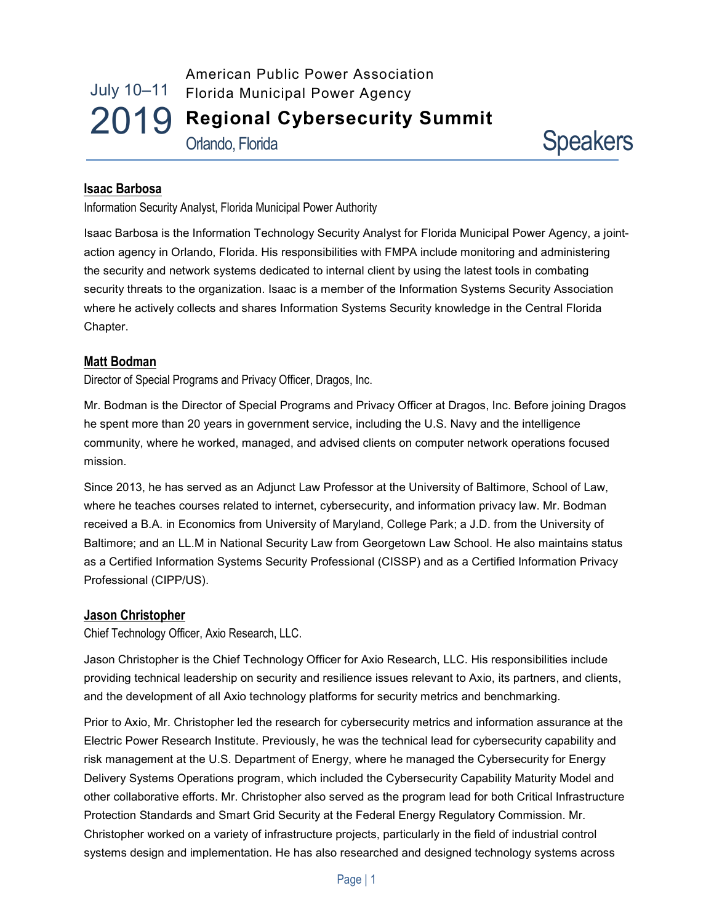July 10–11 2019 American Public Power Association Florida Municipal Power Agency Regional Cybersecurity Summit Orlando, Florida



## Isaac Barbosa

Information Security Analyst, Florida Municipal Power Authority

Isaac Barbosa is the Information Technology Security Analyst for Florida Municipal Power Agency, a jointaction agency in Orlando, Florida. His responsibilities with FMPA include monitoring and administering the security and network systems dedicated to internal client by using the latest tools in combating security threats to the organization. Isaac is a member of the Information Systems Security Association where he actively collects and shares Information Systems Security knowledge in the Central Florida Chapter.

#### Matt Bodman

Director of Special Programs and Privacy Officer, Dragos, Inc.

Mr. Bodman is the Director of Special Programs and Privacy Officer at Dragos, Inc. Before joining Dragos he spent more than 20 years in government service, including the U.S. Navy and the intelligence community, where he worked, managed, and advised clients on computer network operations focused mission.

Since 2013, he has served as an Adjunct Law Professor at the University of Baltimore, School of Law, where he teaches courses related to internet, cybersecurity, and information privacy law. Mr. Bodman received a B.A. in Economics from University of Maryland, College Park; a J.D. from the University of Baltimore; and an LL.M in National Security Law from Georgetown Law School. He also maintains status as a Certified Information Systems Security Professional (CISSP) and as a Certified Information Privacy Professional (CIPP/US).

#### Jason Christopher

Chief Technology Officer, Axio Research, LLC.

Jason Christopher is the Chief Technology Officer for Axio Research, LLC. His responsibilities include providing technical leadership on security and resilience issues relevant to Axio, its partners, and clients, and the development of all Axio technology platforms for security metrics and benchmarking.

Prior to Axio, Mr. Christopher led the research for cybersecurity metrics and information assurance at the Electric Power Research Institute. Previously, he was the technical lead for cybersecurity capability and risk management at the U.S. Department of Energy, where he managed the Cybersecurity for Energy Delivery Systems Operations program, which included the Cybersecurity Capability Maturity Model and other collaborative efforts. Mr. Christopher also served as the program lead for both Critical Infrastructure Protection Standards and Smart Grid Security at the Federal Energy Regulatory Commission. Mr. Christopher worked on a variety of infrastructure projects, particularly in the field of industrial control systems design and implementation. He has also researched and designed technology systems across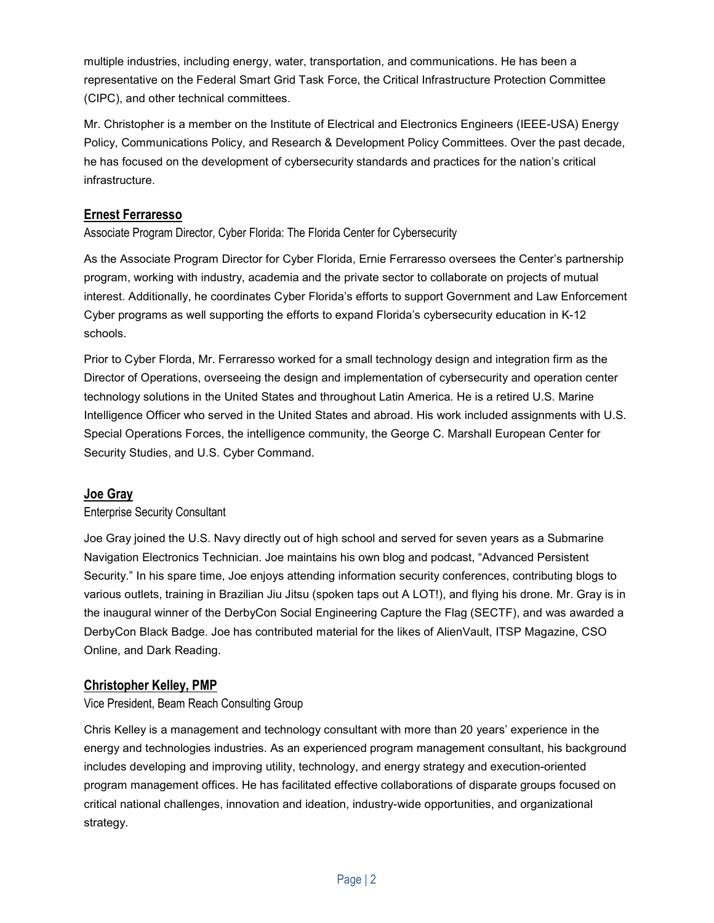multiple industries, including energy, water, transportation, and communications. He has been a representative on the Federal Smart Grid Task Force, the Critical Infrastructure Protection Committee (CIPC), and other technical committees.

Mr. Christopher is a member on the Institute of Electrical and Electronics Engineers (IEEE-USA) Energy Policy, Communications Policy, and Research & Development Policy Committees. Over the past decade, he has focused on the development of cybersecurity standards and practices for the nation's critical infrastructure.

## Ernest Ferraresso

Associate Program Director, Cyber Florida: The Florida Center for Cybersecurity

As the Associate Program Director for Cyber Florida, Ernie Ferraresso oversees the Center's partnership program, working with industry, academia and the private sector to collaborate on projects of mutual interest. Additionally, he coordinates Cyber Florida's efforts to support Government and Law Enforcement Cyber programs as well supporting the efforts to expand Florida's cybersecurity education in K-12 schools.

Prior to Cyber Florda, Mr. Ferraresso worked for a small technology design and integration firm as the Director of Operations, overseeing the design and implementation of cybersecurity and operation center technology solutions in the United States and throughout Latin America. He is a retired U.S. Marine Intelligence Officer who served in the United States and abroad. His work included assignments with U.S. Special Operations Forces, the intelligence community, the George C. Marshall European Center for Security Studies, and U.S. Cyber Command.

## Joe Gray

#### Enterprise Security Consultant

Joe Gray joined the U.S. Navy directly out of high school and served for seven years as a Submarine Navigation Electronics Technician. Joe maintains his own blog and podcast, "Advanced Persistent Security." In his spare time, Joe enjoys attending information security conferences, contributing blogs to various outlets, training in Brazilian Jiu Jitsu (spoken taps out A LOT!), and flying his drone. Mr. Gray is in the inaugural winner of the DerbyCon Social Engineering Capture the Flag (SECTF), and was awarded a DerbyCon Black Badge. Joe has contributed material for the likes of AlienVault, ITSP Magazine, CSO Online, and Dark Reading.

## Christopher Kelley, PMP

Vice President, Beam Reach Consulting Group

Chris Kelley is a management and technology consultant with more than 20 years' experience in the energy and technologies industries. As an experienced program management consultant, his background includes developing and improving utility, technology, and energy strategy and execution-oriented program management offices. He has facilitated effective collaborations of disparate groups focused on critical national challenges, innovation and ideation, industry-wide opportunities, and organizational strategy.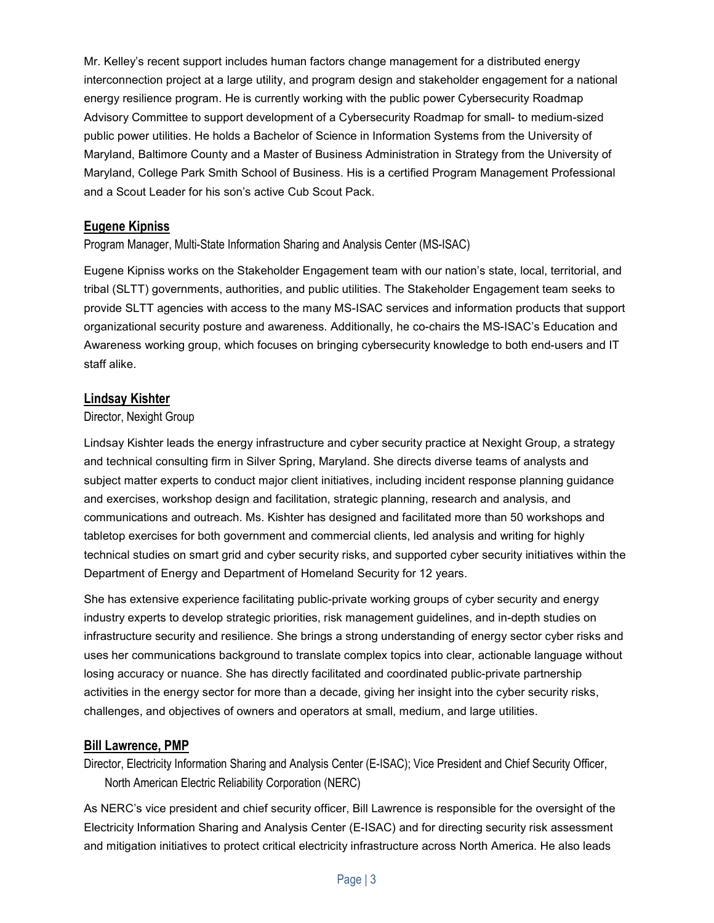Mr. Kelley's recent support includes human factors change management for a distributed energy interconnection project at a large utility, and program design and stakeholder engagement for a national energy resilience program. He is currently working with the public power Cybersecurity Roadmap Advisory Committee to support development of a Cybersecurity Roadmap for small- to medium-sized public power utilities. He holds a Bachelor of Science in Information Systems from the University of Maryland, Baltimore County and a Master of Business Administration in Strategy from the University of Maryland, College Park Smith School of Business. His is a certified Program Management Professional and a Scout Leader for his son's active Cub Scout Pack.

## Eugene Kipniss

#### Program Manager, Multi-State Information Sharing and Analysis Center (MS-ISAC)

Eugene Kipniss works on the Stakeholder Engagement team with our nation's state, local, territorial, and tribal (SLTT) governments, authorities, and public utilities. The Stakeholder Engagement team seeks to provide SLTT agencies with access to the many MS-ISAC services and information products that support organizational security posture and awareness. Additionally, he co-chairs the MS-ISAC's Education and Awareness working group, which focuses on bringing cybersecurity knowledge to both end-users and IT staff alike.

## Lindsay Kishter

#### Director, Nexight Group

Lindsay Kishter leads the energy infrastructure and cyber security practice at Nexight Group, a strategy and technical consulting firm in Silver Spring, Maryland. She directs diverse teams of analysts and subject matter experts to conduct major client initiatives, including incident response planning guidance and exercises, workshop design and facilitation, strategic planning, research and analysis, and communications and outreach. Ms. Kishter has designed and facilitated more than 50 workshops and tabletop exercises for both government and commercial clients, led analysis and writing for highly technical studies on smart grid and cyber security risks, and supported cyber security initiatives within the Department of Energy and Department of Homeland Security for 12 years.

She has extensive experience facilitating public-private working groups of cyber security and energy industry experts to develop strategic priorities, risk management guidelines, and in-depth studies on infrastructure security and resilience. She brings a strong understanding of energy sector cyber risks and uses her communications background to translate complex topics into clear, actionable language without losing accuracy or nuance. She has directly facilitated and coordinated public-private partnership activities in the energy sector for more than a decade, giving her insight into the cyber security risks, challenges, and objectives of owners and operators at small, medium, and large utilities.

#### Bill Lawrence, PMP

Director, Electricity Information Sharing and Analysis Center (E-ISAC); Vice President and Chief Security Officer, North American Electric Reliability Corporation (NERC)

As NERC's vice president and chief security officer, Bill Lawrence is responsible for the oversight of the Electricity Information Sharing and Analysis Center (E-ISAC) and for directing security risk assessment and mitigation initiatives to protect critical electricity infrastructure across North America. He also leads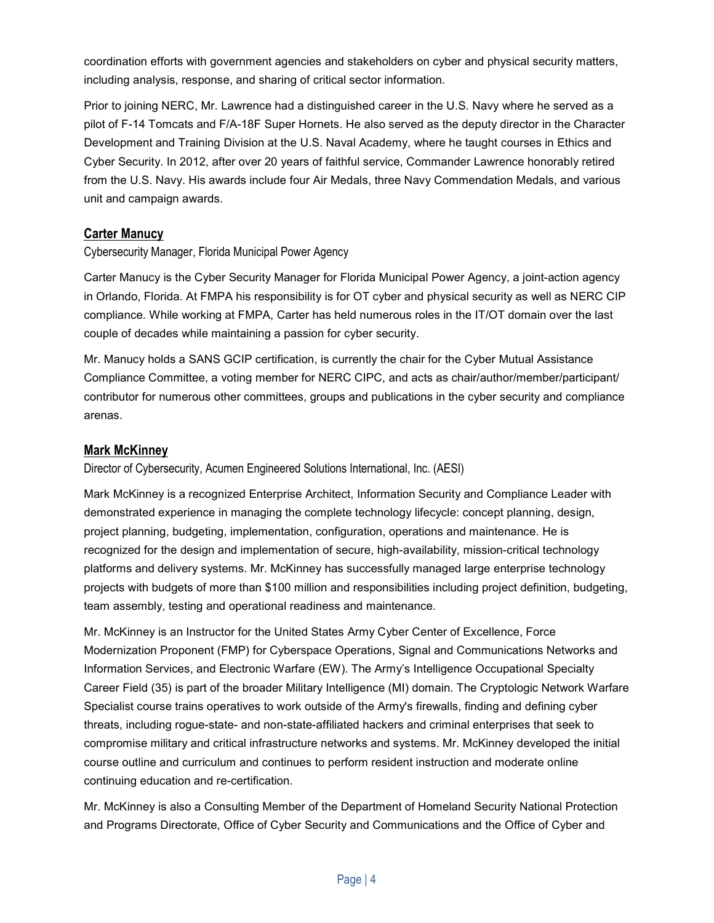coordination efforts with government agencies and stakeholders on cyber and physical security matters, including analysis, response, and sharing of critical sector information.

Prior to joining NERC, Mr. Lawrence had a distinguished career in the U.S. Navy where he served as a pilot of F-14 Tomcats and F/A-18F Super Hornets. He also served as the deputy director in the Character Development and Training Division at the U.S. Naval Academy, where he taught courses in Ethics and Cyber Security. In 2012, after over 20 years of faithful service, Commander Lawrence honorably retired from the U.S. Navy. His awards include four Air Medals, three Navy Commendation Medals, and various unit and campaign awards.

## Carter Manucy

Cybersecurity Manager, Florida Municipal Power Agency

Carter Manucy is the Cyber Security Manager for Florida Municipal Power Agency, a joint-action agency in Orlando, Florida. At FMPA his responsibility is for OT cyber and physical security as well as NERC CIP compliance. While working at FMPA, Carter has held numerous roles in the IT/OT domain over the last couple of decades while maintaining a passion for cyber security.

Mr. Manucy holds a SANS GCIP certification, is currently the chair for the Cyber Mutual Assistance Compliance Committee, a voting member for NERC CIPC, and acts as chair/author/member/participant/ contributor for numerous other committees, groups and publications in the cyber security and compliance arenas.

## Mark McKinney

Director of Cybersecurity, Acumen Engineered Solutions International, Inc. (AESI)

Mark McKinney is a recognized Enterprise Architect, Information Security and Compliance Leader with demonstrated experience in managing the complete technology lifecycle: concept planning, design, project planning, budgeting, implementation, configuration, operations and maintenance. He is recognized for the design and implementation of secure, high-availability, mission-critical technology platforms and delivery systems. Mr. McKinney has successfully managed large enterprise technology projects with budgets of more than \$100 million and responsibilities including project definition, budgeting, team assembly, testing and operational readiness and maintenance.

Mr. McKinney is an Instructor for the United States Army Cyber Center of Excellence, Force Modernization Proponent (FMP) for Cyberspace Operations, Signal and Communications Networks and Information Services, and Electronic Warfare (EW). The Army's Intelligence Occupational Specialty Career Field (35) is part of the broader Military Intelligence (MI) domain. The Cryptologic Network Warfare Specialist course trains operatives to work outside of the Army's firewalls, finding and defining cyber threats, including rogue-state- and non-state-affiliated hackers and criminal enterprises that seek to compromise military and critical infrastructure networks and systems. Mr. McKinney developed the initial course outline and curriculum and continues to perform resident instruction and moderate online continuing education and re-certification.

Mr. McKinney is also a Consulting Member of the Department of Homeland Security National Protection and Programs Directorate, Office of Cyber Security and Communications and the Office of Cyber and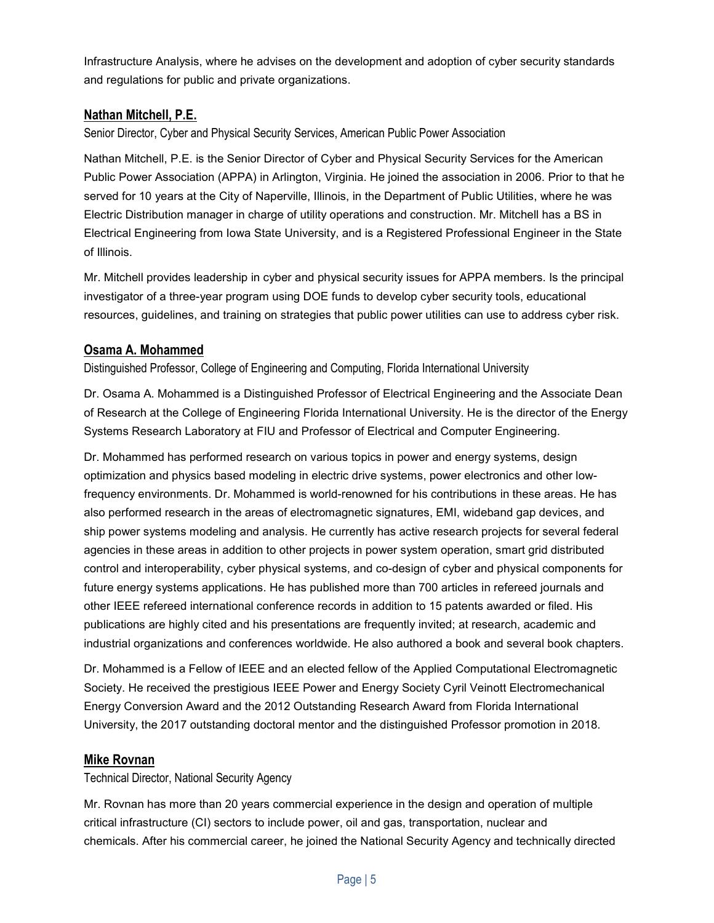Infrastructure Analysis, where he advises on the development and adoption of cyber security standards and regulations for public and private organizations.

## Nathan Mitchell, P.E.

Senior Director, Cyber and Physical Security Services, American Public Power Association

Nathan Mitchell, P.E. is the Senior Director of Cyber and Physical Security Services for the American Public Power Association (APPA) in Arlington, Virginia. He joined the association in 2006. Prior to that he served for 10 years at the City of Naperville, Illinois, in the Department of Public Utilities, where he was Electric Distribution manager in charge of utility operations and construction. Mr. Mitchell has a BS in Electrical Engineering from Iowa State University, and is a Registered Professional Engineer in the State of Illinois.

Mr. Mitchell provides leadership in cyber and physical security issues for APPA members. Is the principal investigator of a three-year program using DOE funds to develop cyber security tools, educational resources, guidelines, and training on strategies that public power utilities can use to address cyber risk.

## Osama A. Mohammed

Distinguished Professor, College of Engineering and Computing, Florida International University

Dr. Osama A. Mohammed is a Distinguished Professor of Electrical Engineering and the Associate Dean of Research at the College of Engineering Florida International University. He is the director of the Energy Systems Research Laboratory at FIU and Professor of Electrical and Computer Engineering.

Dr. Mohammed has performed research on various topics in power and energy systems, design optimization and physics based modeling in electric drive systems, power electronics and other lowfrequency environments. Dr. Mohammed is world-renowned for his contributions in these areas. He has also performed research in the areas of electromagnetic signatures, EMI, wideband gap devices, and ship power systems modeling and analysis. He currently has active research projects for several federal agencies in these areas in addition to other projects in power system operation, smart grid distributed control and interoperability, cyber physical systems, and co-design of cyber and physical components for future energy systems applications. He has published more than 700 articles in refereed journals and other IEEE refereed international conference records in addition to 15 patents awarded or filed. His publications are highly cited and his presentations are frequently invited; at research, academic and industrial organizations and conferences worldwide. He also authored a book and several book chapters.

Dr. Mohammed is a Fellow of IEEE and an elected fellow of the Applied Computational Electromagnetic Society. He received the prestigious IEEE Power and Energy Society Cyril Veinott Electromechanical Energy Conversion Award and the 2012 Outstanding Research Award from Florida International University, the 2017 outstanding doctoral mentor and the distinguished Professor promotion in 2018.

## Mike Rovnan

Technical Director, National Security Agency

Mr. Rovnan has more than 20 years commercial experience in the design and operation of multiple critical infrastructure (CI) sectors to include power, oil and gas, transportation, nuclear and chemicals. After his commercial career, he joined the National Security Agency and technically directed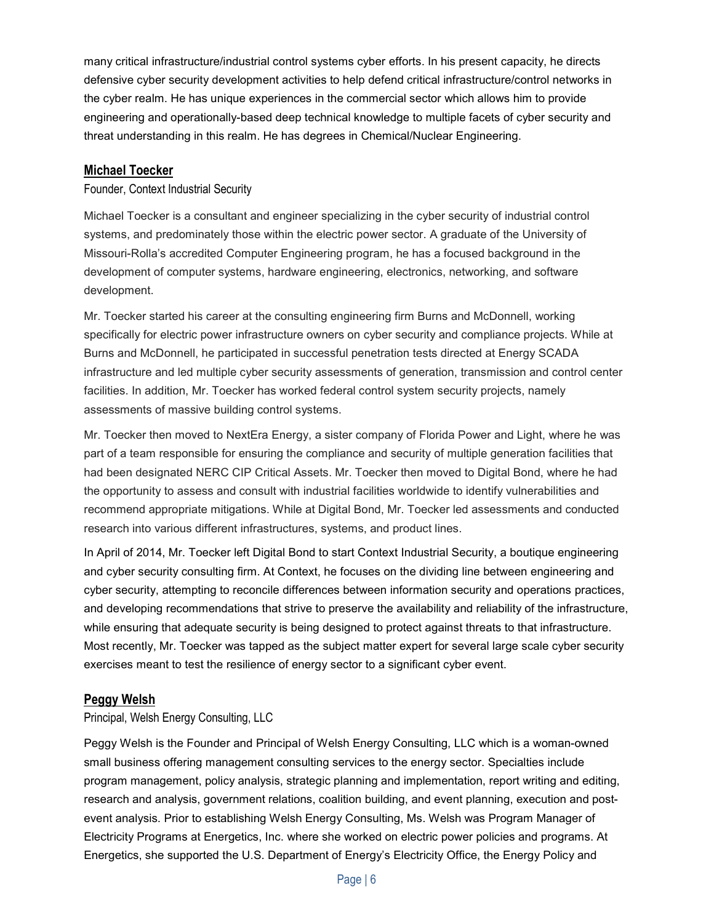many critical infrastructure/industrial control systems cyber efforts. In his present capacity, he directs defensive cyber security development activities to help defend critical infrastructure/control networks in the cyber realm. He has unique experiences in the commercial sector which allows him to provide engineering and operationally-based deep technical knowledge to multiple facets of cyber security and threat understanding in this realm. He has degrees in Chemical/Nuclear Engineering.

## Michael Toecker

#### Founder, Context Industrial Security

Michael Toecker is a consultant and engineer specializing in the cyber security of industrial control systems, and predominately those within the electric power sector. A graduate of the University of Missouri-Rolla's accredited Computer Engineering program, he has a focused background in the development of computer systems, hardware engineering, electronics, networking, and software development.

Mr. Toecker started his career at the consulting engineering firm Burns and McDonnell, working specifically for electric power infrastructure owners on cyber security and compliance projects. While at Burns and McDonnell, he participated in successful penetration tests directed at Energy SCADA infrastructure and led multiple cyber security assessments of generation, transmission and control center facilities. In addition, Mr. Toecker has worked federal control system security projects, namely assessments of massive building control systems.

Mr. Toecker then moved to NextEra Energy, a sister company of Florida Power and Light, where he was part of a team responsible for ensuring the compliance and security of multiple generation facilities that had been designated NERC CIP Critical Assets. Mr. Toecker then moved to Digital Bond, where he had the opportunity to assess and consult with industrial facilities worldwide to identify vulnerabilities and recommend appropriate mitigations. While at Digital Bond, Mr. Toecker led assessments and conducted research into various different infrastructures, systems, and product lines.

In April of 2014, Mr. Toecker left Digital Bond to start Context Industrial Security, a boutique engineering and cyber security consulting firm. At Context, he focuses on the dividing line between engineering and cyber security, attempting to reconcile differences between information security and operations practices, and developing recommendations that strive to preserve the availability and reliability of the infrastructure, while ensuring that adequate security is being designed to protect against threats to that infrastructure. Most recently, Mr. Toecker was tapped as the subject matter expert for several large scale cyber security exercises meant to test the resilience of energy sector to a significant cyber event.

#### Peggy Welsh

#### Principal, Welsh Energy Consulting, LLC

Peggy Welsh is the Founder and Principal of Welsh Energy Consulting, LLC which is a woman-owned small business offering management consulting services to the energy sector. Specialties include program management, policy analysis, strategic planning and implementation, report writing and editing, research and analysis, government relations, coalition building, and event planning, execution and postevent analysis. Prior to establishing Welsh Energy Consulting, Ms. Welsh was Program Manager of Electricity Programs at Energetics, Inc. where she worked on electric power policies and programs. At Energetics, she supported the U.S. Department of Energy's Electricity Office, the Energy Policy and